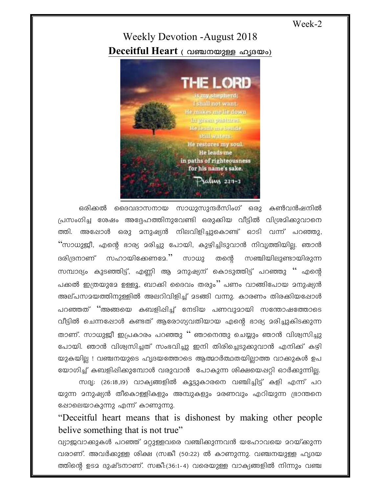Week-2

## **Weekly Devotion -August 2018** Deceitful Heart ( വഞ്ചനയുള്ള ഹൃദയം)



ഒരിക്കൽ ദൈവദാസനായ സാധുസുന്ദർസിംഗ് ഒരു കൺവൻഷനിൽ പ്രസംഗിച്ച ശേഷം അദ്ദേഹത്തിനുവേണ്ടി ഒരുക്കിയ വീട്ടിൽ വിശ്രമിക്കുവാനെ അഷോൾ ഒരു മനുഷ്യൻ നിലവിളിച്ചുകൊണ്ട് ഓടി വന്ന് പറഞ്ഞു, ത്തി. ''സാധുജീ, എന്റെ ഭാര്യ മരിച്ചു പോയി, കുഴിച്ചിടുവാൻ നിവൃത്തിയില്ല. ഞാൻ സഹായിക്കേണമേ.'' സാധു ദരിദ്രനാണ് തന്റെ സഞ്ചിയിലുണ്ടായിരുന്ന സമ്പാദ്യം കുടഞ്ഞിട്ട്, എണ്ണി ആ മനുഷ്യന് കൊടുത്തിട്ട് പറഞ്ഞു '' എന്റെ പക്കൽ ഇത്രയുദേ ഉള്ളൂ, ബാക്കി ദൈവം തരും'' പണം വാങ്ങിപോയ മനുഷ്യൻ അല്പസമയത്തിനുള്ളിൽ അലറിവിളിച്ച് മടങ്ങി വന്നു. കാരണം തിരക്കിയപ്പോൾ പറഞ്ഞത് ''അങ്ങയെ കബളിപ്പിച്ച് നേടിയ പണവുമായി സന്തോഷത്തോടെ വീട്ടിൽ ചെന്നപ്പോൾ കണ്ടത് ആരോഗ്യവതിയായ എന്റെ ഭാര്യ മരിച്ചുകിടക്കുന്ന താണ്. സാധുജീ ഇപ്രകാരം പറഞ്ഞു" ഞാനെന്തു ചെയ്യും ഞാൻ വിശ്വസിച്ചു പോയി. ഞാൻ വിശ്വസിച്ചത് സംഭവിച്ചു ഇനി തിരിച്ചെടുക്കുവാൻ എനിക്ക് കഴി യുകയില്ല ! വഞ്ചനയുടെ ഹൃദയത്തോടെ ആത്മാർത്ഥതയില്ലാത്ത വാക്കുകൾ ഉപ യോഗിച്ച് കബളിഷിക്കുമ്പോൾ വരുവാൻ പോകുന്ന ശിക്ഷയെഷറ്റി ഓർക്കുന്നില്ല.

സദൃ: (26:18,19) വാക്യങ്ങളിൽ കൂട്ടുകാരനെ വഞ്ചിച്ചിട്ട് കളി എന്ന് പറ യുന്ന മനുഷ്യൻ തീകൊള്ളികളും അമ്പുകളും മരണവും എറിയുന്ന ഭ്രാന്തനെ ഷോലെയാകുന്നു എന്ന് കാണുന്നു.

"Deceitful heart means that is dishonest by making other people belive something that is not true"

വ്യാജവാക്കുകൾ പറഞ്ഞ് മറ്റുള്ളവരെ വഞ്ചിക്കുന്നവൻ യഹോവയെ മറയ്ക്കുന്ന വരാണ്. അവർക്കുള്ള ശിക്ഷ (സങ്കീ (50:22) ൽ കാണുന്നു. വഞ്ചനയുള്ള ഹൃദയ ത്തിന്റെ ഉടമ ദുഷ്ടനാണ്. സങ്കീ:(36:1-4) വരെയുള്ള വാക്യങ്ങളിൽ നിന്നും വഞ്ച